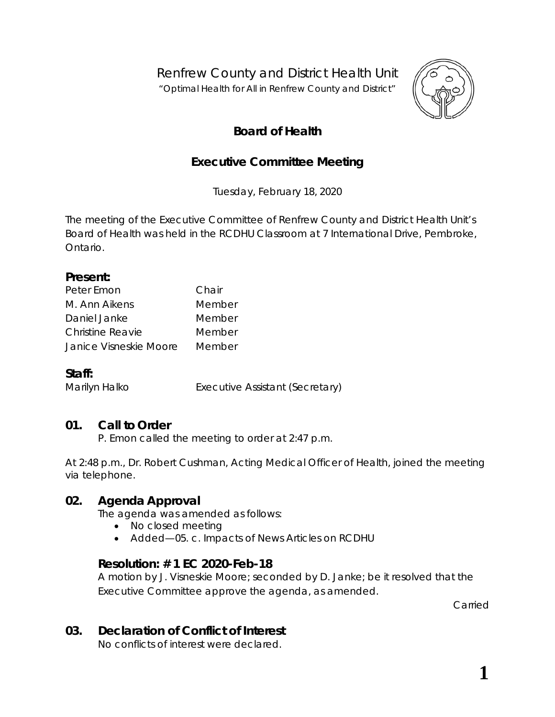Renfrew County and District Health Unit

*"Optimal Health for All in Renfrew County and District"*



# **Board of Health**

# **Executive Committee Meeting**

Tuesday, February 18, 2020

The meeting of the Executive Committee of Renfrew County and District Health Unit's Board of Health was held in the RCDHU Classroom at 7 International Drive, Pembroke, Ontario.

#### **Present:**

| Peter Emon              | Chair  |
|-------------------------|--------|
| M. Ann Aikens           | Member |
| Daniel Janke            | Member |
| <b>Christine Reavie</b> | Member |
| Janice Visneskie Moore  | Member |

### **Staff:**

Marilyn Halko **Executive Assistant (Secretary)** 

## **01. Call to Order**

P. Emon called the meeting to order at 2:47 p.m.

At 2:48 p.m., Dr. Robert Cushman, Acting Medical Officer of Health, joined the meeting via telephone.

### **02. Agenda Approval**

The agenda was amended as follows:

- No closed meeting
- Added—05. c. Impacts of News Articles on RCDHU

### **Resolution: # 1 EC 2020-Feb-18**

A motion by J. Visneskie Moore; seconded by D. Janke; be it resolved that the Executive Committee approve the agenda, as amended.

Carried

## **03. Declaration of Conflict of Interest**

No conflicts of interest were declared.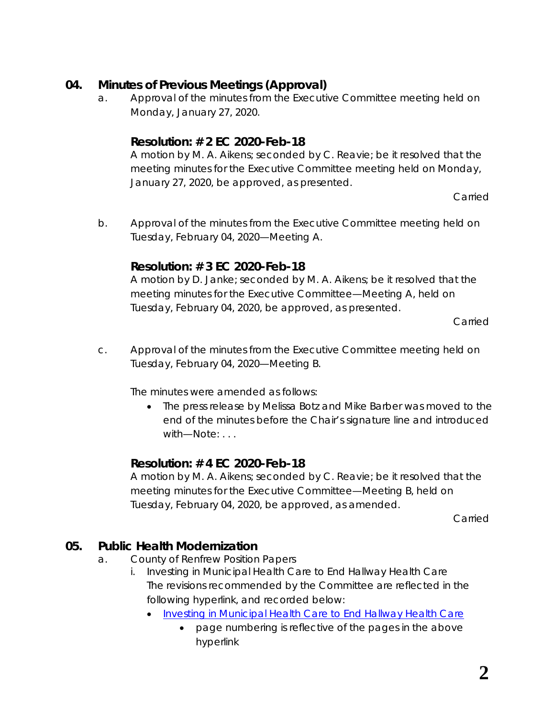## **04. Minutes of Previous Meetings (Approval)**

a. Approval of the minutes from the Executive Committee meeting held on Monday, January 27, 2020.

## **Resolution: # 2 EC 2020-Feb-18**

A motion by M. A. Aikens; seconded by C. Reavie; be it resolved that the meeting minutes for the Executive Committee meeting held on Monday, January 27, 2020, be approved, as presented.

Carried

b. Approval of the minutes from the Executive Committee meeting held on Tuesday, February 04, 2020—Meeting A.

### **Resolution: # 3 EC 2020-Feb-18**

A motion by D. Janke; seconded by M. A. Aikens; be it resolved that the meeting minutes for the Executive Committee—Meeting A, held on Tuesday, February 04, 2020, be approved, as presented.

Carried

c. Approval of the minutes from the Executive Committee meeting held on Tuesday, February 04, 2020—Meeting B.

The minutes were amended as follows:

• The press release by Melissa Botz and Mike Barber was moved to the end of the minutes before the Chair's signature line and introduced with—Note: . . .

## **Resolution: # 4 EC 2020-Feb-18**

A motion by M. A. Aikens; seconded by C. Reavie; be it resolved that the meeting minutes for the Executive Committee—Meeting B, held on Tuesday, February 04, 2020, be approved, as amended.

Carried

# **05. Public Health Modernization**

- a. County of Renfrew Position Papers
	- i. Investing in Municipal Health Care to End Hallway Health Care The revisions recommended by the Committee are reflected in the following hyperlink, and recorded below:
		- [Investing in Municipal Health Care to End Hallway Health Care](http://portal.rcdhu.com/board/wp-content/uploads/2020/02/Investing-in-Municipal-Health-Care-to-End-Hallway-Health-Care-revised-2020-Feb-18-EC.pdf)
			- page numbering is reflective of the pages in the above hyperlink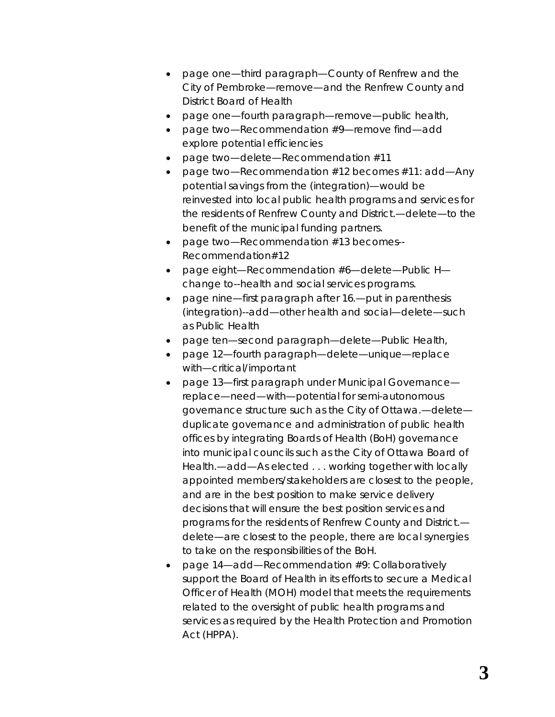- page one—third paragraph—County of Renfrew *and the* City of Pembroke—remove—*and the Renfrew County and District Board of Health*
- page one—fourth paragraph—remove—*public health,*
- page two—Recommendation #9—remove find—add *explore potential* efficiencies
- page two—delete—Recommendation #11
- page two—Recommendation #12 becomes *#11*: add—*Any potential* savings from the *(integration)—would be reinvested into local public health programs and services for the residents of Renfrew County and District.—*delete*—to the benefit of the municipal funding partners.*
- page two—Recommendation #13 becomes*-- Recommendation#12*
- page eight—Recommendation #6—delete—*Public H* change to*--health and social services* programs*.*
- page nine*—first paragraph after 16.—put in parenthesis (integration)--add—other health and social—delete—such as Public Health*
- page ten—second paragraph—delete—*Public Health,*
- page 12—fourth paragraph—delete—*unique*—replace with—*critical/important*
- page 13—first paragraph under Municipal Governance replace—*need*—with—*potential* for *semi-autonomous governance structure such as the City of Ottawa*.—delete *duplicate governance and administration of public health offices by integrating Boards of Health (BoH) governance into municipal councils such as the City of Ottawa Board of Health.—add—As elected . . . working together with locally appointed members/stakeholders are closest to the people, and are in the best position to make service delivery decisions that will ensure the best position services and programs for the residents of Renfrew County and District.* delete*—are closest to the people, there are local synergies to take on the responsibilities of the BoH.*
- page 14—add—*Recommendation #9: Collaboratively support the Board of Health in its efforts to secure a Medical Officer of Health (MOH) model that meets the requirements related to the oversight of public health programs and services as required by the Health Protection and Promotion Act (HPPA).*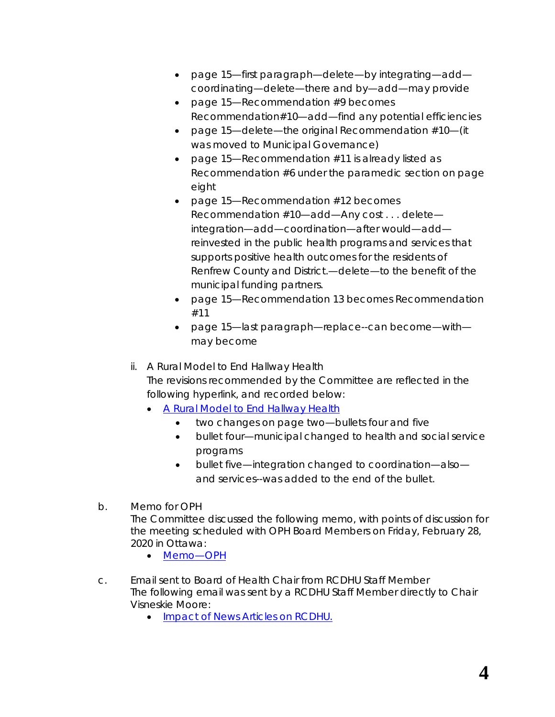- page 15—first paragraph—delete*—by integrating—*add *coordinating—*delete*—there* and *by—*add*—may provide*
- page 15—Recommendation #9 becomes *Recommendation#10—add—*find *any potential* efficiencies
- page 15—delete—the original Recommendation #10—(it was moved to Municipal Governance)
- page 15—Recommendation #11 is already listed as Recommendation #6 under the paramedic section on page eight
- page 15—Recommendation #12 becomes *Recommendation #10*—add—*Any cost* . . . delete *integration*—add—*coordination—*after would*—add reinvested in the public health programs and services that supports positive health outcomes for the residents of Renfrew County and District.—*delete*—to the benefit of the municipal funding partners.*
- page 15—Recommendation 13 becomes *Recommendation #11*
- page 15—last paragraph—replace--*can become—*with *may become*
- ii. A Rural Model to End Hallway Health The revisions recommended by the Committee are reflected in the following hyperlink, and recorded below:
	- [A Rural Model to End Hallway Health](http://portal.rcdhu.com/board/wp-content/uploads/2020/02/ARuralModelToEndHallwayHealthCare-OnePager-REVISED-Feb18.pdf)
		- two changes on page two—bullets four and five
		- bullet four—municipal changed to *health and social service programs*
		- bullet five—integration changed to *coordination*—also *and services--*was added to the end of the bullet.
- b. Memo for OPH The Committee discussed the following memo, with points of discussion for the meeting scheduled with OPH Board Members on Friday, February 28, 2020 in Ottawa:
	- [Memo—OPH](http://portal.rcdhu.com/board/wp-content/uploads/2020/02/09.-a.-Memo-OPH-2020-Feb-18.pdf)
- c. Email sent to Board of Health Chair from RCDHU Staff Member The following email was sent by a RCDHU Staff Member directly to Chair Visneskie Moore:
	- [Impact of News Articles on RCDHU.](http://portal.rcdhu.com/board/wp-content/uploads/2020/02/07.-a.-Impacts-of-News-Articles-on-RCDHU.pdf)